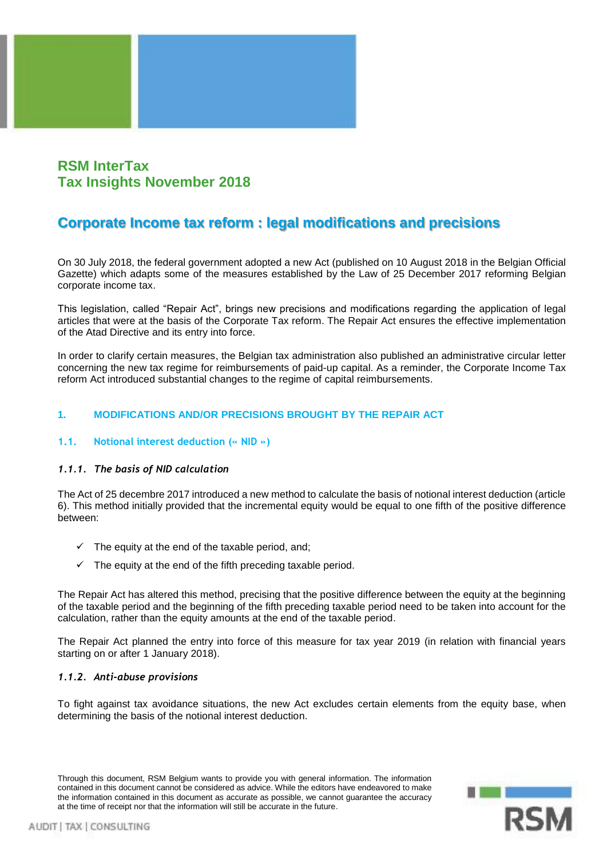## **RSM InterTax Tax Insights November 2018**

# **Corporate Income tax reform : legal modifications and precisions**

On 30 July 2018, the federal government adopted a new Act (published on 10 August 2018 in the Belgian Official Gazette) which adapts some of the measures established by the Law of 25 December 2017 reforming Belgian corporate income tax.

This legislation, called "Repair Act", brings new precisions and modifications regarding the application of legal articles that were at the basis of the Corporate Tax reform. The Repair Act ensures the effective implementation of the Atad Directive and its entry into force.

In order to clarify certain measures, the Belgian tax administration also published an administrative circular letter concerning the new tax regime for reimbursements of paid-up capital. As a reminder, the Corporate Income Tax reform Act introduced substantial changes to the regime of capital reimbursements.

## **1. MODIFICATIONS AND/OR PRECISIONS BROUGHT BY THE REPAIR ACT**

## **1.1. Notional interest deduction (« NID »)**

## *1.1.1. The basis of NID calculation*

The Act of 25 decembre 2017 introduced a new method to calculate the basis of notional interest deduction (article 6). This method initially provided that the incremental equity would be equal to one fifth of the positive difference between:

- $\checkmark$  The equity at the end of the taxable period, and;
- The equity at the end of the fifth preceding taxable period.

The Repair Act has altered this method, precising that the positive difference between the equity at the beginning of the taxable period and the beginning of the fifth preceding taxable period need to be taken into account for the calculation, rather than the equity amounts at the end of the taxable period.

The Repair Act planned the entry into force of this measure for tax year 2019 (in relation with financial years starting on or after 1 January 2018).

## *1.1.2. Anti-abuse provisions*

To fight against tax avoidance situations, the new Act excludes certain elements from the equity base, when determining the basis of the notional interest deduction.

Through this document, RSM Belgium wants to provide you with general information. The information contained in this document cannot be considered as advice. While the editors have endeavored to make the information contained in this document as accurate as possible, we cannot guarantee the accuracy at the time of receipt nor that the information will still be accurate in the future.

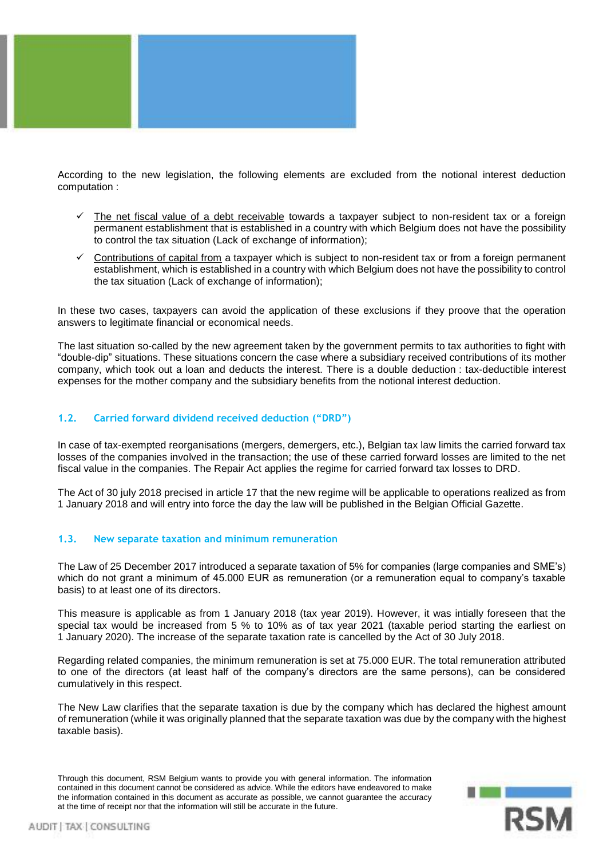

According to the new legislation, the following elements are excluded from the notional interest deduction computation :

- The net fiscal value of a debt receivable towards a taxpayer subject to non-resident tax or a foreign permanent establishment that is established in a country with which Belgium does not have the possibility to control the tax situation (Lack of exchange of information);
- Contributions of capital from a taxpayer which is subject to non-resident tax or from a foreign permanent establishment, which is established in a country with which Belgium does not have the possibility to control the tax situation (Lack of exchange of information);

In these two cases, taxpayers can avoid the application of these exclusions if they proove that the operation answers to legitimate financial or economical needs.

The last situation so-called by the new agreement taken by the government permits to tax authorities to fight with "double-dip" situations. These situations concern the case where a subsidiary received contributions of its mother company, which took out a loan and deducts the interest. There is a double deduction : tax-deductible interest expenses for the mother company and the subsidiary benefits from the notional interest deduction.

#### **1.2. Carried forward dividend received deduction ("DRD")**

In case of tax-exempted reorganisations (mergers, demergers, etc.), Belgian tax law limits the carried forward tax losses of the companies involved in the transaction; the use of these carried forward losses are limited to the net fiscal value in the companies. The Repair Act applies the regime for carried forward tax losses to DRD.

The Act of 30 july 2018 precised in article 17 that the new regime will be applicable to operations realized as from 1 January 2018 and will entry into force the day the law will be published in the Belgian Official Gazette.

#### **1.3. New separate taxation and minimum remuneration**

The Law of 25 December 2017 introduced a separate taxation of 5% for companies (large companies and SME's) which do not grant a minimum of 45.000 EUR as remuneration (or a remuneration equal to company's taxable basis) to at least one of its directors.

This measure is applicable as from 1 January 2018 (tax year 2019). However, it was intially foreseen that the special tax would be increased from 5 % to 10% as of tax year 2021 (taxable period starting the earliest on 1 January 2020). The increase of the separate taxation rate is cancelled by the Act of 30 July 2018.

Regarding related companies, the minimum remuneration is set at 75.000 EUR. The total remuneration attributed to one of the directors (at least half of the company's directors are the same persons), can be considered cumulatively in this respect.

The New Law clarifies that the separate taxation is due by the company which has declared the highest amount of remuneration (while it was originally planned that the separate taxation was due by the company with the highest taxable basis).

Through this document, RSM Belgium wants to provide you with general information. The information contained in this document cannot be considered as advice. While the editors have endeavored to make the information contained in this document as accurate as possible, we cannot guarantee the accuracy at the time of receipt nor that the information will still be accurate in the future.

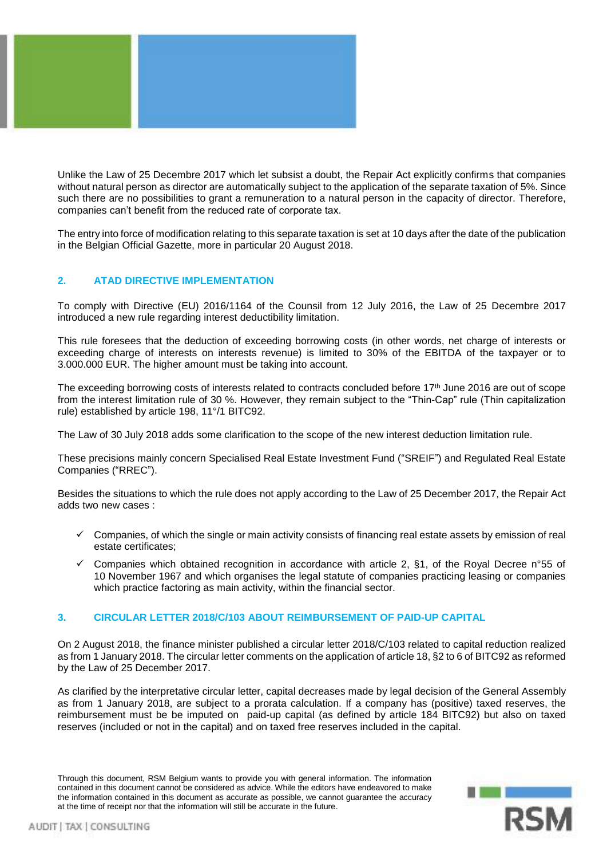

Unlike the Law of 25 Decembre 2017 which let subsist a doubt, the Repair Act explicitly confirms that companies without natural person as director are automatically subject to the application of the separate taxation of 5%. Since such there are no possibilities to grant a remuneration to a natural person in the capacity of director. Therefore, companies can't benefit from the reduced rate of corporate tax.

The entry into force of modification relating to this separate taxation is set at 10 days after the date of the publication in the Belgian Official Gazette, more in particular 20 August 2018.

#### **2. ATAD DIRECTIVE IMPLEMENTATION**

To comply with Directive (EU) 2016/1164 of the Counsil from 12 July 2016, the Law of 25 Decembre 2017 introduced a new rule regarding interest deductibility limitation.

This rule foresees that the deduction of exceeding borrowing costs (in other words, net charge of interests or exceeding charge of interests on interests revenue) is limited to 30% of the EBITDA of the taxpayer or to 3.000.000 EUR. The higher amount must be taking into account.

The exceeding borrowing costs of interests related to contracts concluded before 17<sup>th</sup> June 2016 are out of scope from the interest limitation rule of 30 %. However, they remain subject to the "Thin-Cap" rule (Thin capitalization rule) established by article 198, 11°/1 BITC92.

The Law of 30 July 2018 adds some clarification to the scope of the new interest deduction limitation rule.

These precisions mainly concern Specialised Real Estate Investment Fund ("SREIF") and Regulated Real Estate Companies ("RREC").

Besides the situations to which the rule does not apply according to the Law of 25 December 2017, the Repair Act adds two new cases :

- $\checkmark$  Companies, of which the single or main activity consists of financing real estate assets by emission of real estate certificates;
- ✓ Companies which obtained recognition in accordance with article 2, §1, of the Royal Decree n°55 of 10 November 1967 and which organises the legal statute of companies practicing leasing or companies which practice factoring as main activity, within the financial sector.

#### **3. CIRCULAR LETTER 2018/C/103 ABOUT REIMBURSEMENT OF PAID-UP CAPITAL**

On 2 August 2018, the finance minister published a circular letter 2018/C/103 related to capital reduction realized as from 1 January 2018. The circular letter comments on the application of article 18, §2 to 6 of BITC92 as reformed by the Law of 25 December 2017.

As clarified by the interpretative circular letter, capital decreases made by legal decision of the General Assembly as from 1 January 2018, are subject to a prorata calculation. If a company has (positive) taxed reserves, the reimbursement must be be imputed on paid-up capital (as defined by article 184 BITC92) but also on taxed reserves (included or not in the capital) and on taxed free reserves included in the capital.